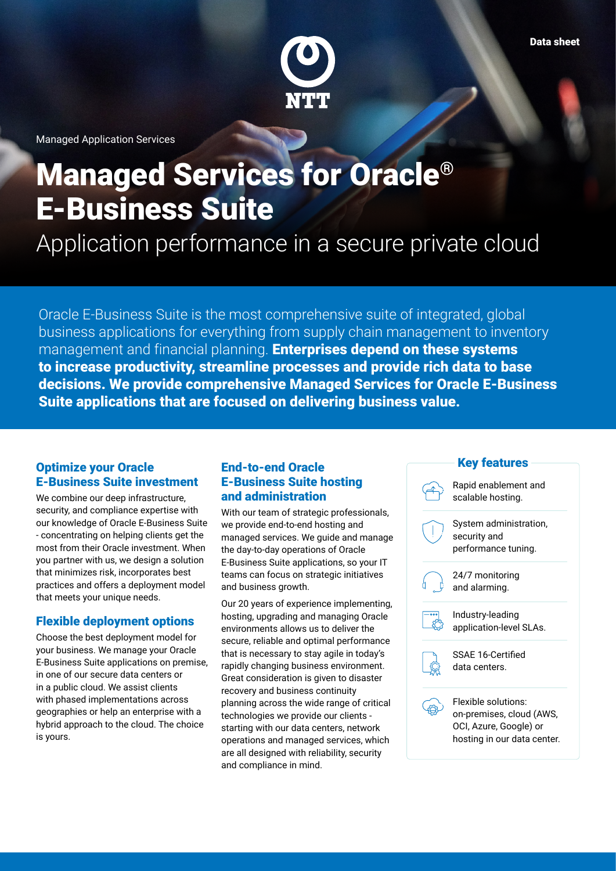

Managed Application Services

# Managed Services for Oracle® E-Business Suite

Application performance in a secure private cloud

Oracle E-Business Suite is the most comprehensive suite of integrated, global business applications for everything from supply chain management to inventory management and financial planning. **Enterprises depend on these systems** to increase productivity, streamline processes and provide rich data to base decisions. We provide comprehensive Managed Services for Oracle E-Business Suite applications that are focused on delivering business value.

#### Optimize your Oracle E-Business Suite investment

We combine our deep infrastructure, security, and compliance expertise with our knowledge of Oracle E-Business Suite - concentrating on helping clients get the most from their Oracle investment. When you partner with us, we design a solution that minimizes risk, incorporates best practices and offers a deployment model that meets your unique needs.

#### Flexible deployment options

Choose the best deployment model for your business. We manage your Oracle E-Business Suite applications on premise, in one of our secure data centers or in a public cloud. We assist clients with phased implementations across geographies or help an enterprise with a hybrid approach to the cloud. The choice is yours.

#### End-to-end Oracle E-Business Suite hosting and administration

With our team of strategic professionals, we provide end-to-end hosting and managed services. We guide and manage the day-to-day operations of Oracle E-Business Suite applications, so your IT teams can focus on strategic initiatives and business growth.

Our 20 years of experience implementing, hosting, upgrading and managing Oracle environments allows us to deliver the secure, reliable and optimal performance that is necessary to stay agile in today's rapidly changing business environment. Great consideration is given to disaster recovery and business continuity planning across the wide range of critical technologies we provide our clients starting with our data centers, network operations and managed services, which are all designed with reliability, security and compliance in mind.